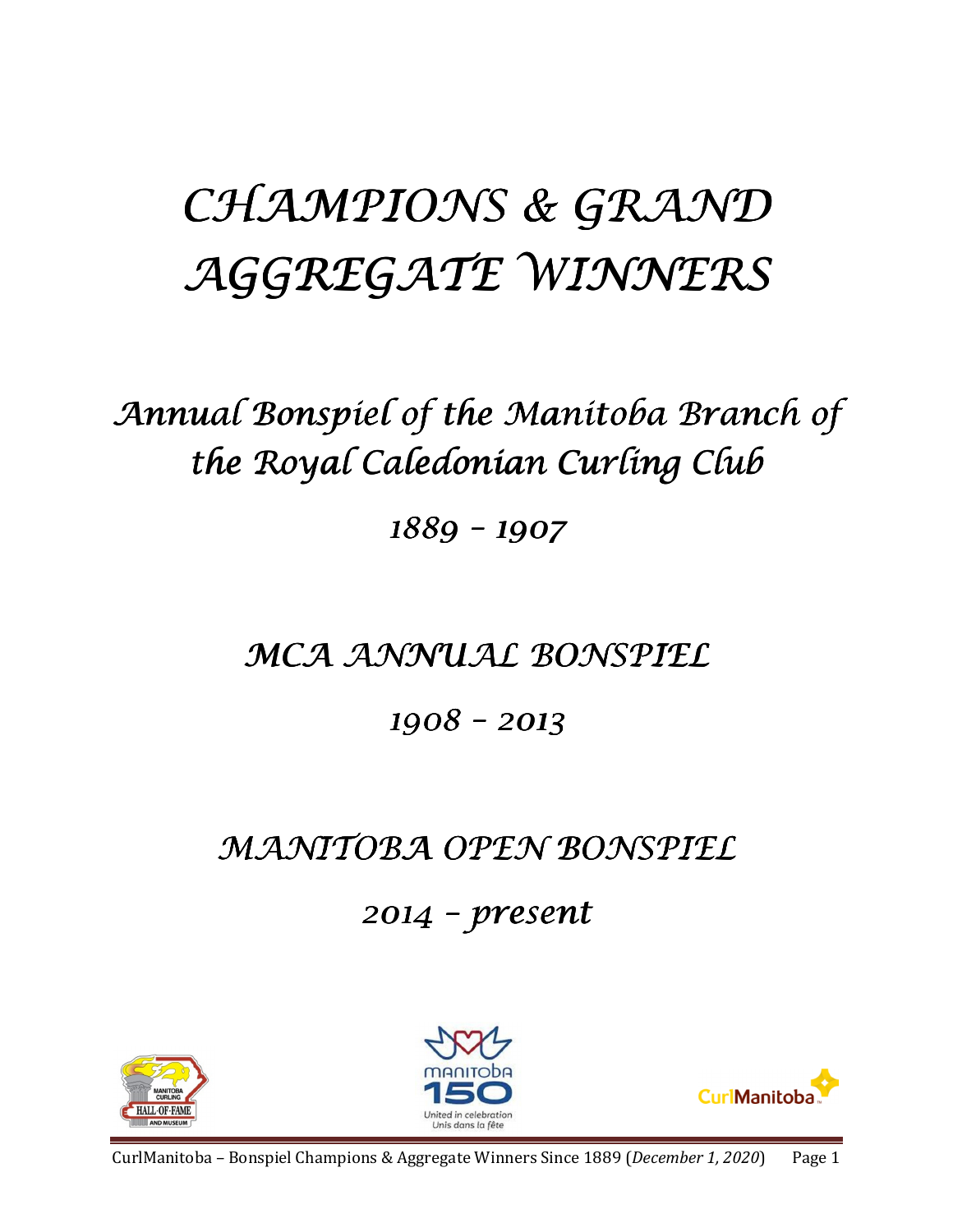# CHAMPIONS & GRAND AGGREGATE WINNERS

Annual Bonspiel of the Manitoba Branch of the Royal Caledonian Curling Club

1889 –1907

### MCA ANNUAL BONSPIEL

1908 –2013

## MANITOBA OPEN BONSPIEL

 $2014$  – present





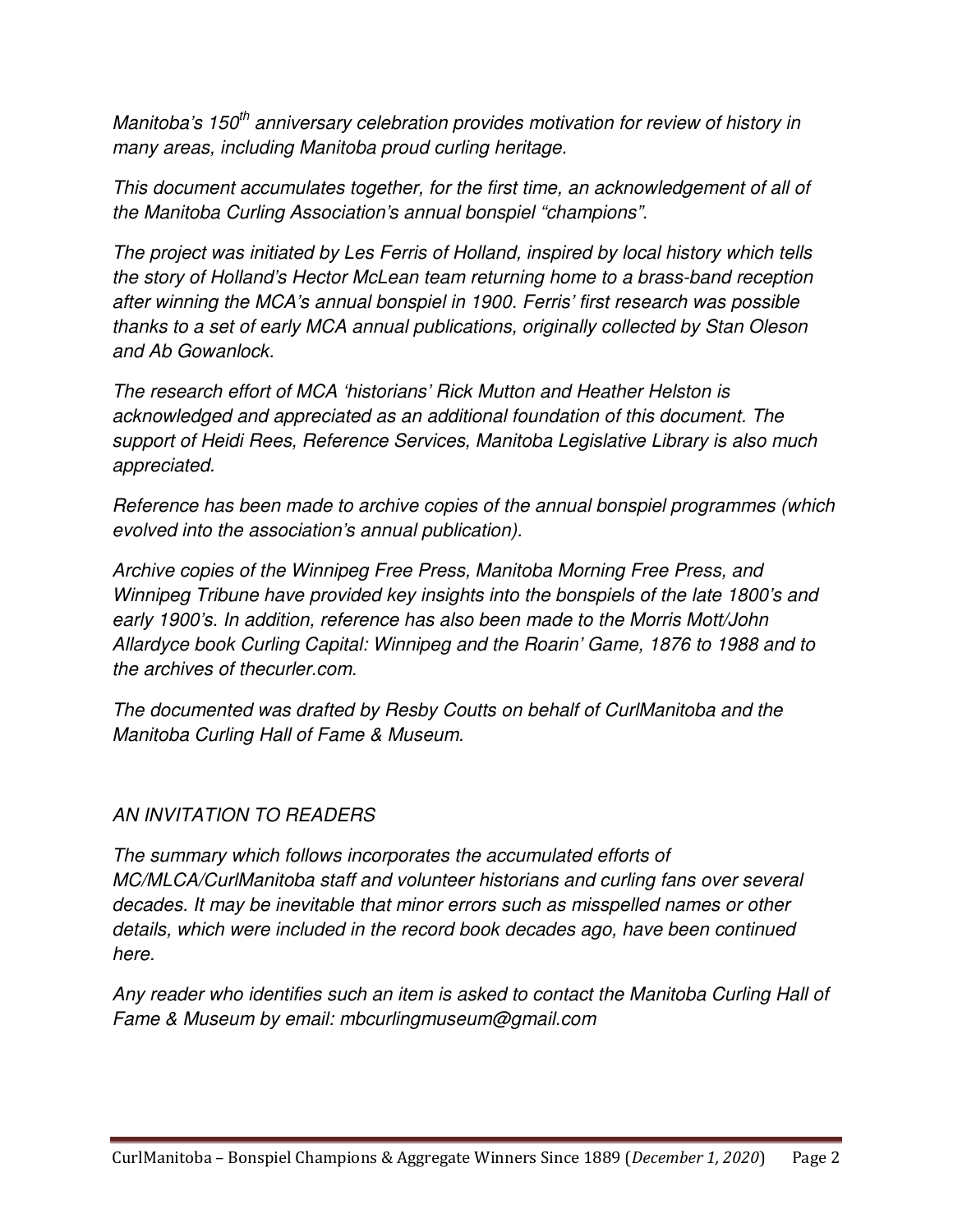Manitoba's 150<sup>th</sup> anniversary celebration provides motivation for review of history in many areas, including Manitoba proud curling heritage.

This document accumulates together, for the first time, an acknowledgement of all of the Manitoba Curling Association's annual bonspiel "champions".

The project was initiated by Les Ferris of Holland, inspired by local history which tells the story of Holland's Hector McLean team returning home to a brass-band reception after winning the MCA's annual bonspiel in 1900. Ferris' first research was possible thanks to a set of early MCA annual publications, originally collected by Stan Oleson and Ab Gowanlock.

The research effort of MCA 'historians' Rick Mutton and Heather Helston is acknowledged and appreciated as an additional foundation of this document. The support of Heidi Rees, Reference Services, Manitoba Legislative Library is also much appreciated.

Reference has been made to archive copies of the annual bonspiel programmes (which evolved into the association's annual publication).

Archive copies of the Winnipeg Free Press, Manitoba Morning Free Press, and Winnipeg Tribune have provided key insights into the bonspiels of the late 1800's and early 1900's. In addition, reference has also been made to the Morris Mott/John Allardyce book Curling Capital: Winnipeg and the Roarin' Game, 1876 to 1988 and to the archives of thecurler.com.

The documented was drafted by Resby Coutts on behalf of CurlManitoba and the Manitoba Curling Hall of Fame & Museum.

#### AN INVITATION TO READERS

The summary which follows incorporates the accumulated efforts of MC/MLCA/CurlManitoba staff and volunteer historians and curling fans over several decades. It may be inevitable that minor errors such as misspelled names or other details, which were included in the record book decades ago, have been continued here.

Any reader who identifies such an item is asked to contact the Manitoba Curling Hall of Fame & Museum by email: mbcurlingmuseum@gmail.com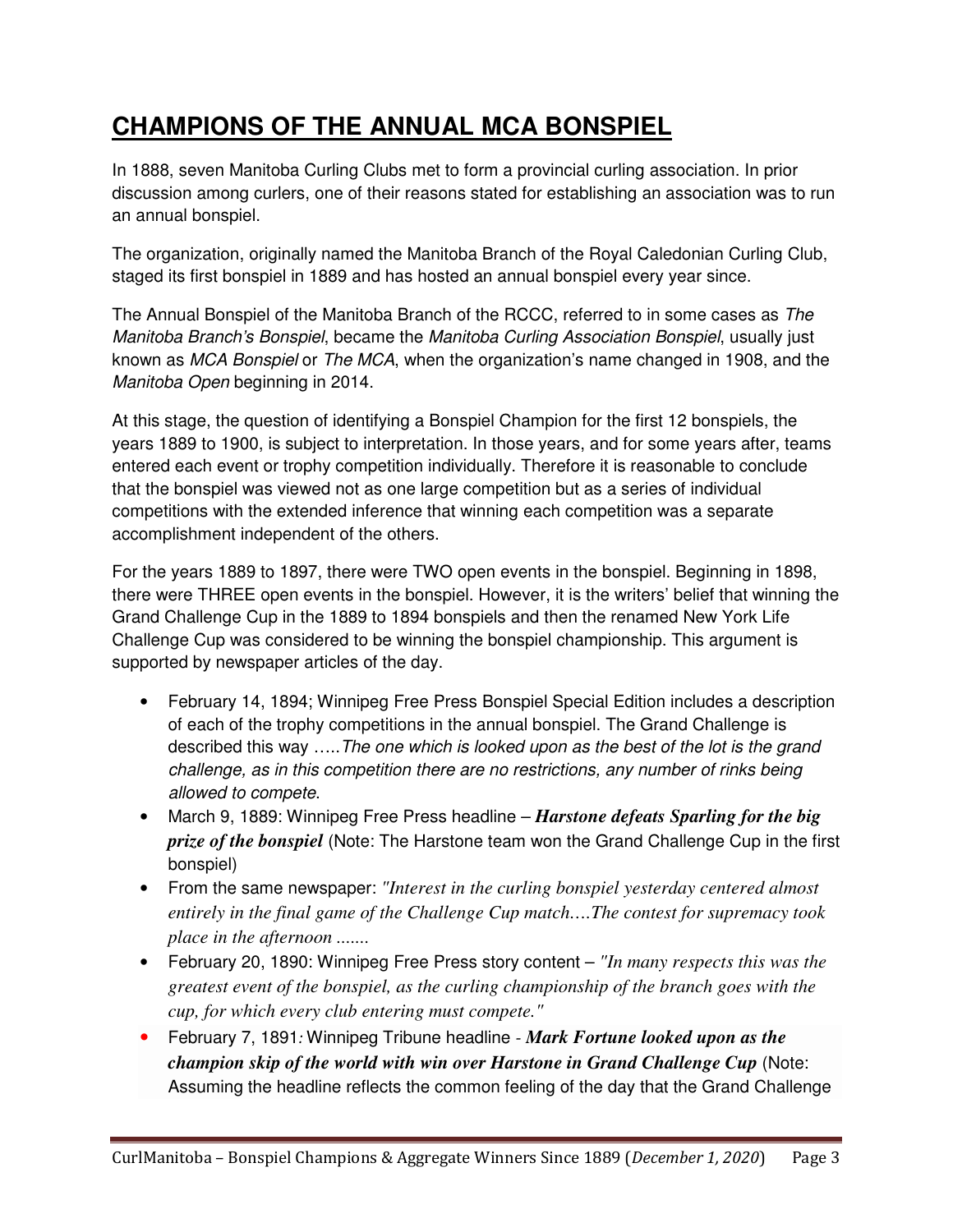### **CHAMPIONS OF THE ANNUAL MCA BONSPIEL**

In 1888, seven Manitoba Curling Clubs met to form a provincial curling association. In prior discussion among curlers, one of their reasons stated for establishing an association was to run an annual bonspiel.

The organization, originally named the Manitoba Branch of the Royal Caledonian Curling Club, staged its first bonspiel in 1889 and has hosted an annual bonspiel every year since.

The Annual Bonspiel of the Manitoba Branch of the RCCC, referred to in some cases as The Manitoba Branch's Bonspiel, became the Manitoba Curling Association Bonspiel, usually just known as MCA Bonspiel or The MCA, when the organization's name changed in 1908, and the Manitoba Open beginning in 2014.

At this stage, the question of identifying a Bonspiel Champion for the first 12 bonspiels, the years 1889 to 1900, is subject to interpretation. In those years, and for some years after, teams entered each event or trophy competition individually. Therefore it is reasonable to conclude that the bonspiel was viewed not as one large competition but as a series of individual competitions with the extended inference that winning each competition was a separate accomplishment independent of the others.

For the years 1889 to 1897, there were TWO open events in the bonspiel. Beginning in 1898, there were THREE open events in the bonspiel. However, it is the writers' belief that winning the Grand Challenge Cup in the 1889 to 1894 bonspiels and then the renamed New York Life Challenge Cup was considered to be winning the bonspiel championship. This argument is supported by newspaper articles of the day.

- February 14, 1894; Winnipeg Free Press Bonspiel Special Edition includes a description of each of the trophy competitions in the annual bonspiel. The Grand Challenge is described this way …..The one which is looked upon as the best of the lot is the grand challenge, as in this competition there are no restrictions, any number of rinks being allowed to compete.
- March 9, 1889: Winnipeg Free Press headline *Harstone defeats Sparling for the big prize of the bonspiel* (Note: The Harstone team won the Grand Challenge Cup in the first bonspiel)
- From the same newspaper: *"Interest in the curling bonspiel yesterday centered almost entirely in the final game of the Challenge Cup match….The contest for supremacy took place in the afternoon .......*
- February 20, 1890: Winnipeg Free Press story content *"In many respects this was the greatest event of the bonspiel, as the curling championship of the branch goes with the cup, for which every club entering must compete."*
- February 7, 1891: Winnipeg Tribune headline  *Mark Fortune looked upon as the champion skip of the world with win over Harstone in Grand Challenge Cup* (Note: Assuming the headline reflects the common feeling of the day that the Grand Challenge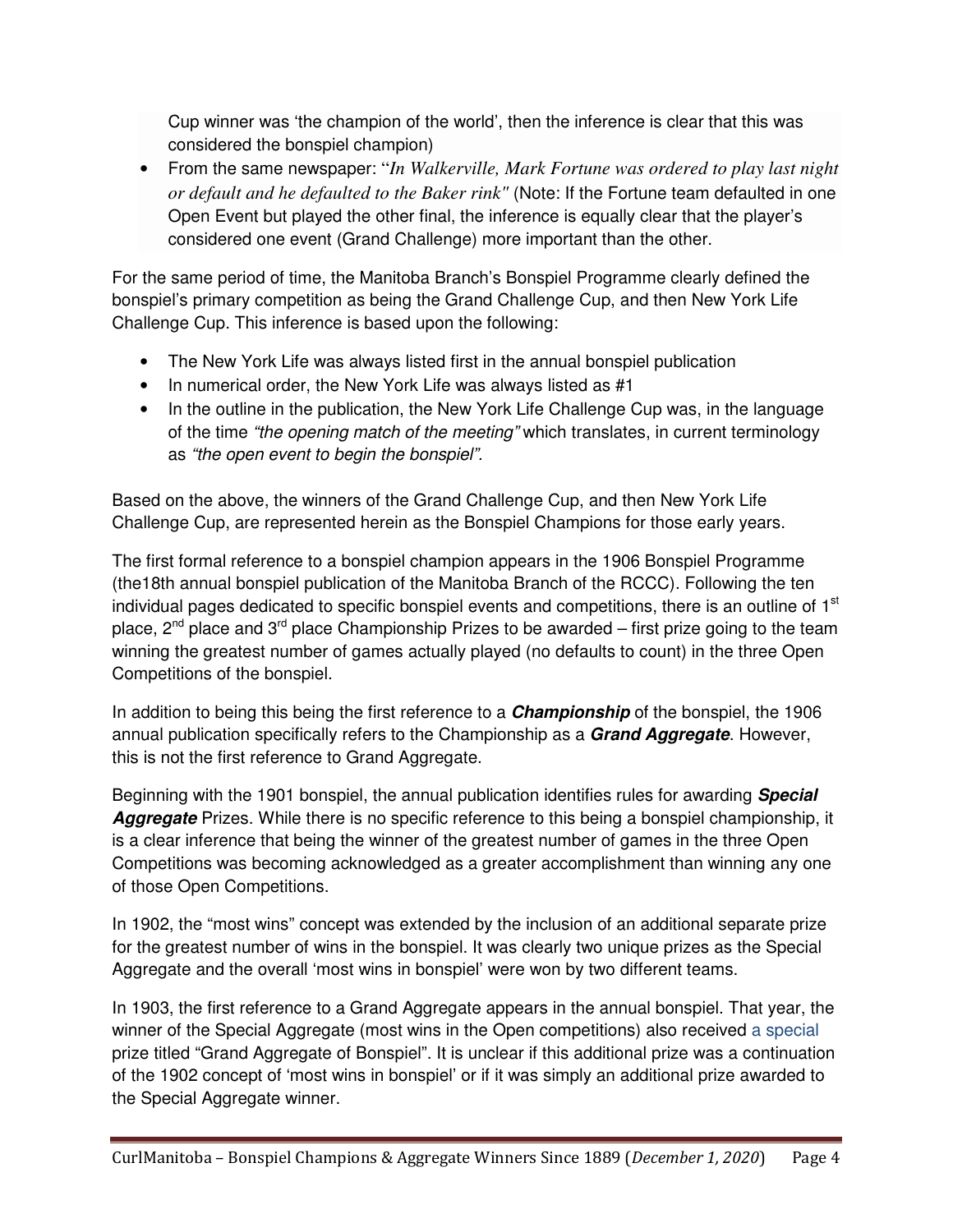Cup winner was 'the champion of the world', then the inference is clear that this was considered the bonspiel champion)

• From the same newspaper: "*In Walkerville, Mark Fortune was ordered to play last night or default and he defaulted to the Baker rink"* (Note: If the Fortune team defaulted in one Open Event but played the other final, the inference is equally clear that the player's considered one event (Grand Challenge) more important than the other.

For the same period of time, the Manitoba Branch's Bonspiel Programme clearly defined the bonspiel's primary competition as being the Grand Challenge Cup, and then New York Life Challenge Cup. This inference is based upon the following:

- The New York Life was always listed first in the annual bonspiel publication
- In numerical order, the New York Life was always listed as #1
- In the outline in the publication, the New York Life Challenge Cup was, in the language of the time "the opening match of the meeting" which translates, in current terminology as "the open event to begin the bonspiel".

Based on the above, the winners of the Grand Challenge Cup, and then New York Life Challenge Cup, are represented herein as the Bonspiel Champions for those early years.

The first formal reference to a bonspiel champion appears in the 1906 Bonspiel Programme (the18th annual bonspiel publication of the Manitoba Branch of the RCCC). Following the ten individual pages dedicated to specific bonspiel events and competitions, there is an outline of 1<sup>st</sup> place,  $2^{nd}$  place and  $3^{rd}$  place Championship Prizes to be awarded – first prize going to the team winning the greatest number of games actually played (no defaults to count) in the three Open Competitions of the bonspiel.

In addition to being this being the first reference to a **Championship** of the bonspiel, the 1906 annual publication specifically refers to the Championship as a **Grand Aggregate**. However, this is not the first reference to Grand Aggregate.

Beginning with the 1901 bonspiel, the annual publication identifies rules for awarding **Special Aggregate** Prizes. While there is no specific reference to this being a bonspiel championship, it is a clear inference that being the winner of the greatest number of games in the three Open Competitions was becoming acknowledged as a greater accomplishment than winning any one of those Open Competitions.

In 1902, the "most wins" concept was extended by the inclusion of an additional separate prize for the greatest number of wins in the bonspiel. It was clearly two unique prizes as the Special Aggregate and the overall 'most wins in bonspiel' were won by two different teams.

In 1903, the first reference to a Grand Aggregate appears in the annual bonspiel. That year, the winner of the Special Aggregate (most wins in the Open competitions) also received a special prize titled "Grand Aggregate of Bonspiel". It is unclear if this additional prize was a continuation of the 1902 concept of 'most wins in bonspiel' or if it was simply an additional prize awarded to the Special Aggregate winner.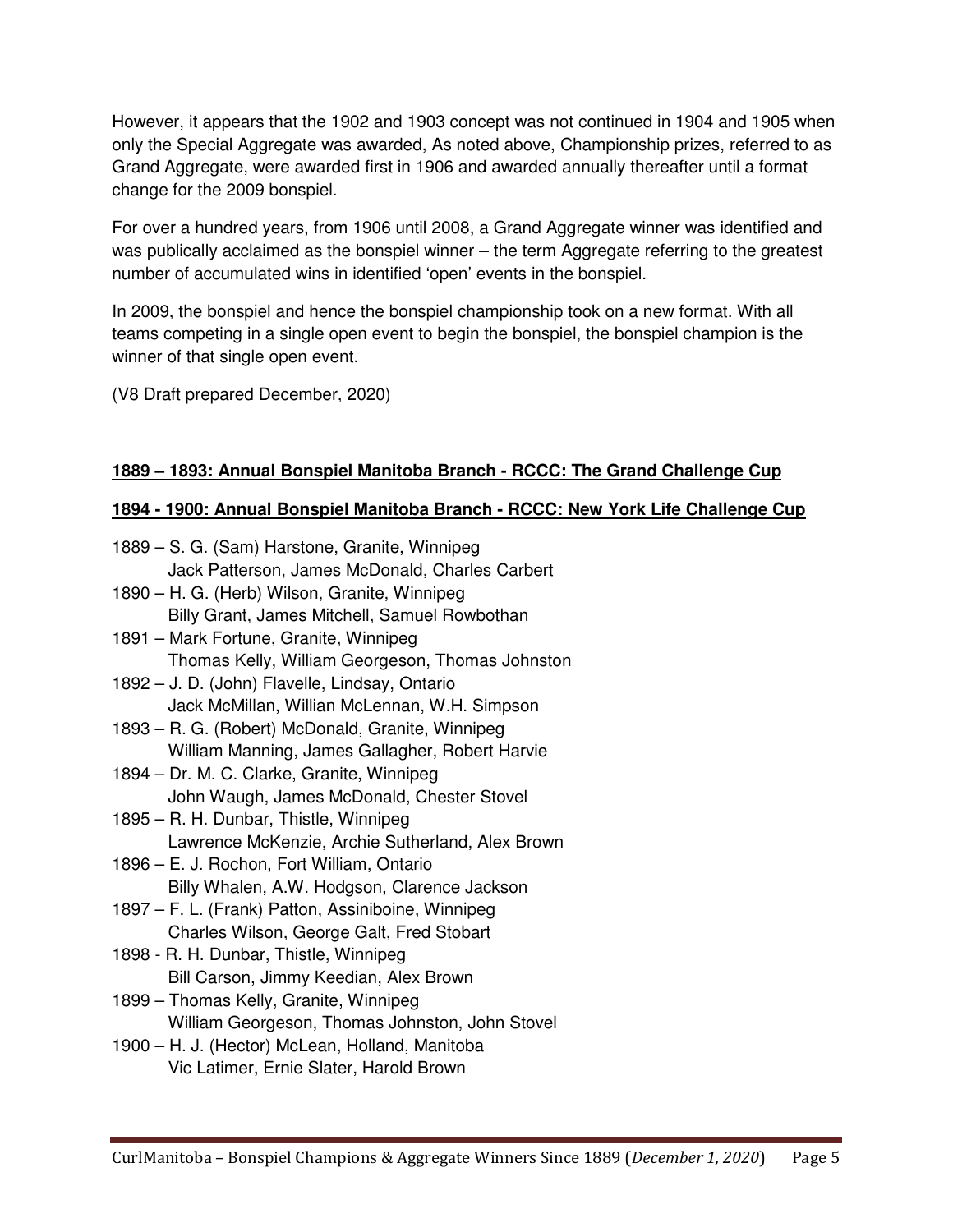However, it appears that the 1902 and 1903 concept was not continued in 1904 and 1905 when only the Special Aggregate was awarded, As noted above, Championship prizes, referred to as Grand Aggregate, were awarded first in 1906 and awarded annually thereafter until a format change for the 2009 bonspiel.

For over a hundred years, from 1906 until 2008, a Grand Aggregate winner was identified and was publically acclaimed as the bonspiel winner – the term Aggregate referring to the greatest number of accumulated wins in identified 'open' events in the bonspiel.

In 2009, the bonspiel and hence the bonspiel championship took on a new format. With all teams competing in a single open event to begin the bonspiel, the bonspiel champion is the winner of that single open event.

(V8 Draft prepared December, 2020)

#### **1889 – 1893: Annual Bonspiel Manitoba Branch - RCCC: The Grand Challenge Cup**

#### **1894 - 1900: Annual Bonspiel Manitoba Branch - RCCC: New York Life Challenge Cup**

1889 – S. G. (Sam) Harstone, Granite, Winnipeg Jack Patterson, James McDonald, Charles Carbert 1890 – H. G. (Herb) Wilson, Granite, Winnipeg Billy Grant, James Mitchell, Samuel Rowbothan 1891 – Mark Fortune, Granite, Winnipeg Thomas Kelly, William Georgeson, Thomas Johnston 1892 – J. D. (John) Flavelle, Lindsay, Ontario Jack McMillan, Willian McLennan, W.H. Simpson 1893 – R. G. (Robert) McDonald, Granite, Winnipeg William Manning, James Gallagher, Robert Harvie 1894 – Dr. M. C. Clarke, Granite, Winnipeg John Waugh, James McDonald, Chester Stovel 1895 – R. H. Dunbar, Thistle, Winnipeg Lawrence McKenzie, Archie Sutherland, Alex Brown 1896 – E. J. Rochon, Fort William, Ontario Billy Whalen, A.W. Hodgson, Clarence Jackson 1897 – F. L. (Frank) Patton, Assiniboine, Winnipeg Charles Wilson, George Galt, Fred Stobart 1898 - R. H. Dunbar, Thistle, Winnipeg Bill Carson, Jimmy Keedian, Alex Brown 1899 – Thomas Kelly, Granite, Winnipeg William Georgeson, Thomas Johnston, John Stovel 1900 – H. J. (Hector) McLean, Holland, Manitoba Vic Latimer, Ernie Slater, Harold Brown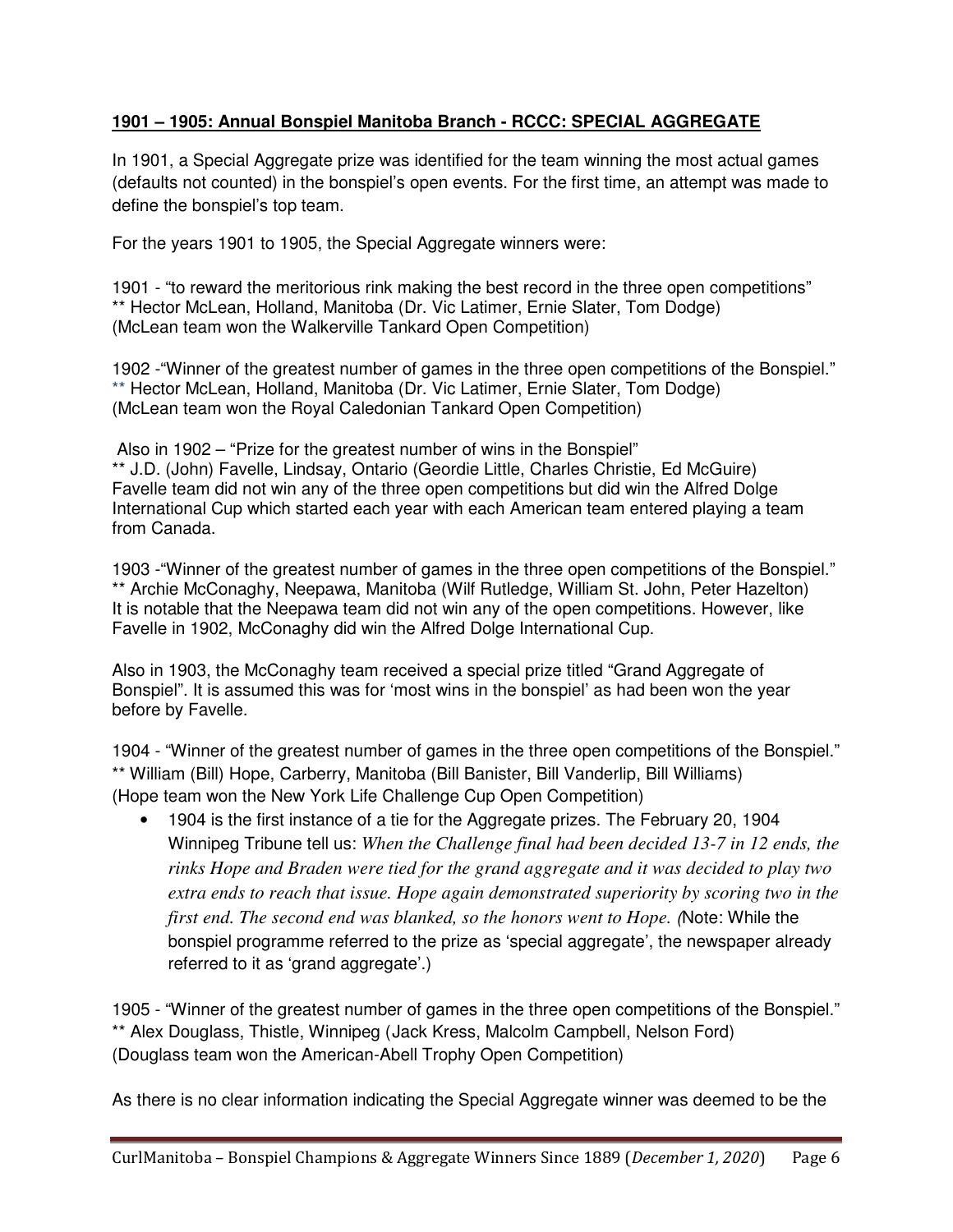#### **1901 – 1905: Annual Bonspiel Manitoba Branch - RCCC: SPECIAL AGGREGATE**

In 1901, a Special Aggregate prize was identified for the team winning the most actual games (defaults not counted) in the bonspiel's open events. For the first time, an attempt was made to define the bonspiel's top team.

For the years 1901 to 1905, the Special Aggregate winners were:

1901 - "to reward the meritorious rink making the best record in the three open competitions" \*\* Hector McLean, Holland, Manitoba (Dr. Vic Latimer, Ernie Slater, Tom Dodge) (McLean team won the Walkerville Tankard Open Competition)

1902 -"Winner of the greatest number of games in the three open competitions of the Bonspiel." \*\* Hector McLean, Holland, Manitoba (Dr. Vic Latimer, Ernie Slater, Tom Dodge) (McLean team won the Royal Caledonian Tankard Open Competition)

 Also in 1902 – "Prize for the greatest number of wins in the Bonspiel" \*\* J.D. (John) Favelle, Lindsay, Ontario (Geordie Little, Charles Christie, Ed McGuire) Favelle team did not win any of the three open competitions but did win the Alfred Dolge International Cup which started each year with each American team entered playing a team from Canada.

1903 -"Winner of the greatest number of games in the three open competitions of the Bonspiel." \*\* Archie McConaghy, Neepawa, Manitoba (Wilf Rutledge, William St. John, Peter Hazelton) It is notable that the Neepawa team did not win any of the open competitions. However, like Favelle in 1902, McConaghy did win the Alfred Dolge International Cup.

Also in 1903, the McConaghy team received a special prize titled "Grand Aggregate of Bonspiel". It is assumed this was for 'most wins in the bonspiel' as had been won the year before by Favelle.

1904 - "Winner of the greatest number of games in the three open competitions of the Bonspiel." \*\* William (Bill) Hope, Carberry, Manitoba (Bill Banister, Bill Vanderlip, Bill Williams) (Hope team won the New York Life Challenge Cup Open Competition)

• 1904 is the first instance of a tie for the Aggregate prizes. The February 20, 1904 Winnipeg Tribune tell us: *When the Challenge final had been decided 13-7 in 12 ends, the rinks Hope and Braden were tied for the grand aggregate and it was decided to play two extra ends to reach that issue. Hope again demonstrated superiority by scoring two in the first end. The second end was blanked, so the honors went to Hope.* (Note: While the bonspiel programme referred to the prize as 'special aggregate', the newspaper already referred to it as 'grand aggregate'.)

1905 - "Winner of the greatest number of games in the three open competitions of the Bonspiel." \*\* Alex Douglass, Thistle, Winnipeg (Jack Kress, Malcolm Campbell, Nelson Ford) (Douglass team won the American-Abell Trophy Open Competition)

As there is no clear information indicating the Special Aggregate winner was deemed to be the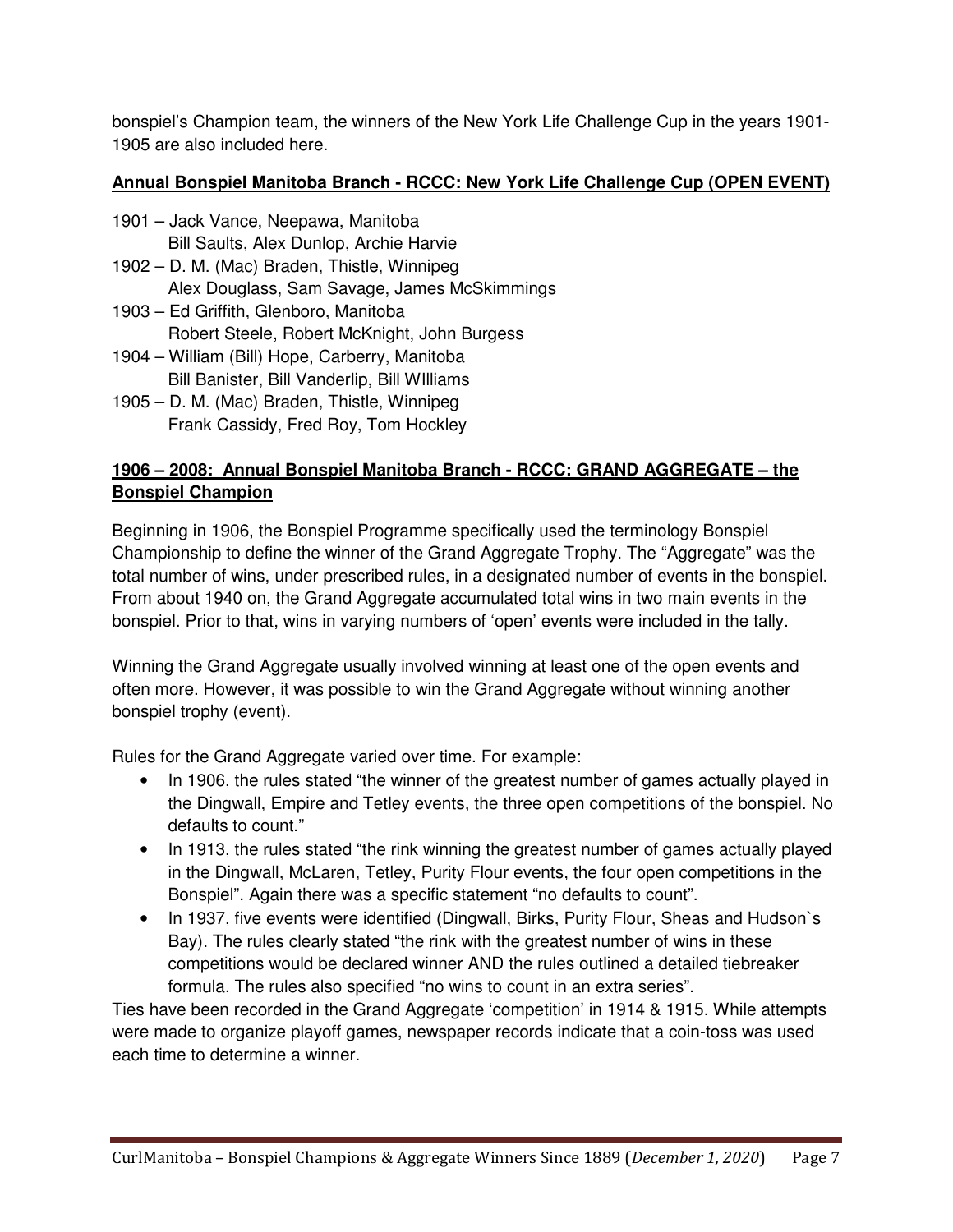bonspiel's Champion team, the winners of the New York Life Challenge Cup in the years 1901- 1905 are also included here.

#### **Annual Bonspiel Manitoba Branch - RCCC: New York Life Challenge Cup (OPEN EVENT)**

- 1901 Jack Vance, Neepawa, Manitoba Bill Saults, Alex Dunlop, Archie Harvie
- 1902 D. M. (Mac) Braden, Thistle, Winnipeg Alex Douglass, Sam Savage, James McSkimmings
- 1903 Ed Griffith, Glenboro, Manitoba Robert Steele, Robert McKnight, John Burgess
- 1904 William (Bill) Hope, Carberry, Manitoba Bill Banister, Bill Vanderlip, Bill WIlliams
- 1905 D. M. (Mac) Braden, Thistle, Winnipeg Frank Cassidy, Fred Roy, Tom Hockley

#### **1906 – 2008: Annual Bonspiel Manitoba Branch - RCCC: GRAND AGGREGATE – the Bonspiel Champion**

Beginning in 1906, the Bonspiel Programme specifically used the terminology Bonspiel Championship to define the winner of the Grand Aggregate Trophy. The "Aggregate" was the total number of wins, under prescribed rules, in a designated number of events in the bonspiel. From about 1940 on, the Grand Aggregate accumulated total wins in two main events in the bonspiel. Prior to that, wins in varying numbers of 'open' events were included in the tally.

Winning the Grand Aggregate usually involved winning at least one of the open events and often more. However, it was possible to win the Grand Aggregate without winning another bonspiel trophy (event).

Rules for the Grand Aggregate varied over time. For example:

- In 1906, the rules stated "the winner of the greatest number of games actually played in the Dingwall, Empire and Tetley events, the three open competitions of the bonspiel. No defaults to count."
- In 1913, the rules stated "the rink winning the greatest number of games actually played in the Dingwall, McLaren, Tetley, Purity Flour events, the four open competitions in the Bonspiel". Again there was a specific statement "no defaults to count".
- In 1937, five events were identified (Dingwall, Birks, Purity Flour, Sheas and Hudson's Bay). The rules clearly stated "the rink with the greatest number of wins in these competitions would be declared winner AND the rules outlined a detailed tiebreaker formula. The rules also specified "no wins to count in an extra series".

Ties have been recorded in the Grand Aggregate 'competition' in 1914 & 1915. While attempts were made to organize playoff games, newspaper records indicate that a coin-toss was used each time to determine a winner.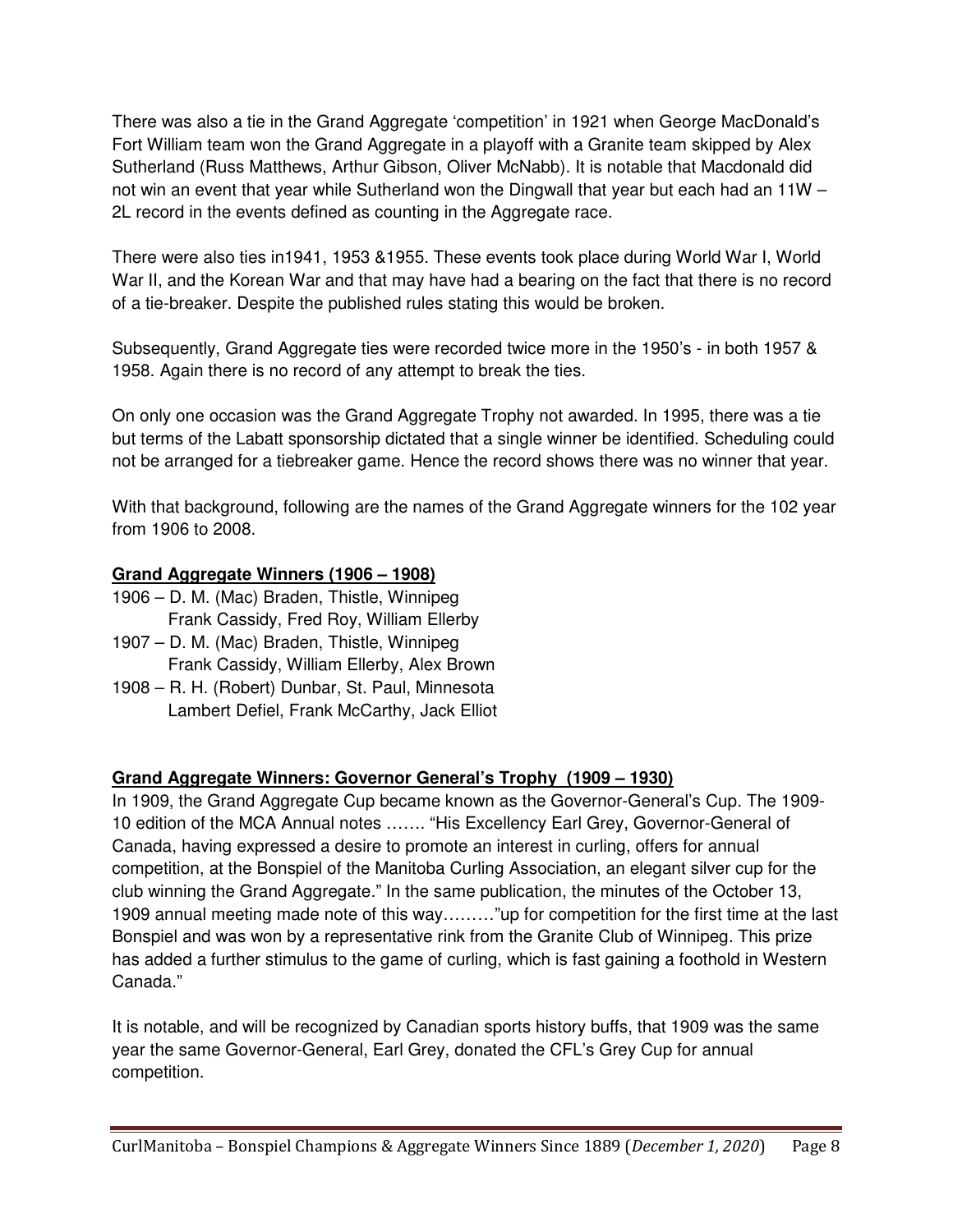There was also a tie in the Grand Aggregate 'competition' in 1921 when George MacDonald's Fort William team won the Grand Aggregate in a playoff with a Granite team skipped by Alex Sutherland (Russ Matthews, Arthur Gibson, Oliver McNabb). It is notable that Macdonald did not win an event that year while Sutherland won the Dingwall that year but each had an 11W – 2L record in the events defined as counting in the Aggregate race.

There were also ties in1941, 1953 &1955. These events took place during World War I, World War II, and the Korean War and that may have had a bearing on the fact that there is no record of a tie-breaker. Despite the published rules stating this would be broken.

Subsequently, Grand Aggregate ties were recorded twice more in the 1950's - in both 1957 & 1958. Again there is no record of any attempt to break the ties.

On only one occasion was the Grand Aggregate Trophy not awarded. In 1995, there was a tie but terms of the Labatt sponsorship dictated that a single winner be identified. Scheduling could not be arranged for a tiebreaker game. Hence the record shows there was no winner that year.

With that background, following are the names of the Grand Aggregate winners for the 102 year from 1906 to 2008.

#### **Grand Aggregate Winners (1906 – 1908)**

- 1906 D. M. (Mac) Braden, Thistle, Winnipeg Frank Cassidy, Fred Roy, William Ellerby
- 1907 D. M. (Mac) Braden, Thistle, Winnipeg Frank Cassidy, William Ellerby, Alex Brown
- 1908 R. H. (Robert) Dunbar, St. Paul, Minnesota Lambert Defiel, Frank McCarthy, Jack Elliot

#### **Grand Aggregate Winners: Governor General's Trophy (1909 – 1930)**

In 1909, the Grand Aggregate Cup became known as the Governor-General's Cup. The 1909- 10 edition of the MCA Annual notes ……. "His Excellency Earl Grey, Governor-General of Canada, having expressed a desire to promote an interest in curling, offers for annual competition, at the Bonspiel of the Manitoba Curling Association, an elegant silver cup for the club winning the Grand Aggregate." In the same publication, the minutes of the October 13, 1909 annual meeting made note of this way………"up for competition for the first time at the last Bonspiel and was won by a representative rink from the Granite Club of Winnipeg. This prize has added a further stimulus to the game of curling, which is fast gaining a foothold in Western Canada."

It is notable, and will be recognized by Canadian sports history buffs, that 1909 was the same year the same Governor-General, Earl Grey, donated the CFL's Grey Cup for annual competition.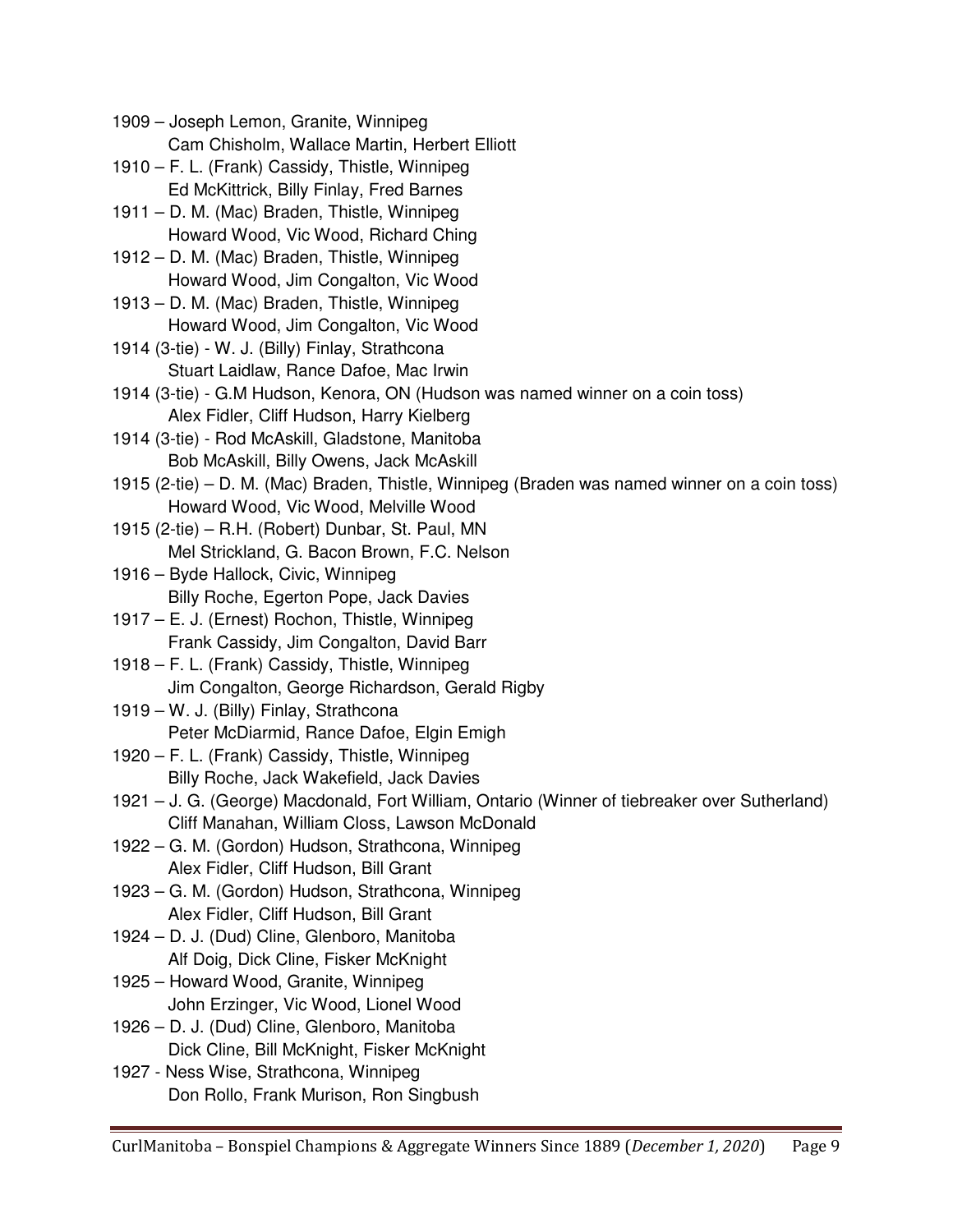1909 – Joseph Lemon, Granite, Winnipeg Cam Chisholm, Wallace Martin, Herbert Elliott 1910 – F. L. (Frank) Cassidy, Thistle, Winnipeg Ed McKittrick, Billy Finlay, Fred Barnes 1911 – D. M. (Mac) Braden, Thistle, Winnipeg Howard Wood, Vic Wood, Richard Ching 1912 – D. M. (Mac) Braden, Thistle, Winnipeg Howard Wood, Jim Congalton, Vic Wood 1913 – D. M. (Mac) Braden, Thistle, Winnipeg Howard Wood, Jim Congalton, Vic Wood 1914 (3-tie) - W. J. (Billy) Finlay, Strathcona Stuart Laidlaw, Rance Dafoe, Mac Irwin 1914 (3-tie) - G.M Hudson, Kenora, ON (Hudson was named winner on a coin toss) Alex Fidler, Cliff Hudson, Harry Kielberg 1914 (3-tie) - Rod McAskill, Gladstone, Manitoba Bob McAskill, Billy Owens, Jack McAskill 1915 (2-tie) – D. M. (Mac) Braden, Thistle, Winnipeg (Braden was named winner on a coin toss) Howard Wood, Vic Wood, Melville Wood 1915 (2-tie) – R.H. (Robert) Dunbar, St. Paul, MN Mel Strickland, G. Bacon Brown, F.C. Nelson 1916 – Byde Hallock, Civic, Winnipeg Billy Roche, Egerton Pope, Jack Davies 1917 – E. J. (Ernest) Rochon, Thistle, Winnipeg Frank Cassidy, Jim Congalton, David Barr 1918 – F. L. (Frank) Cassidy, Thistle, Winnipeg Jim Congalton, George Richardson, Gerald Rigby 1919 – W. J. (Billy) Finlay, Strathcona Peter McDiarmid, Rance Dafoe, Elgin Emigh 1920 – F. L. (Frank) Cassidy, Thistle, Winnipeg Billy Roche, Jack Wakefield, Jack Davies 1921 – J. G. (George) Macdonald, Fort William, Ontario (Winner of tiebreaker over Sutherland) Cliff Manahan, William Closs, Lawson McDonald 1922 – G. M. (Gordon) Hudson, Strathcona, Winnipeg Alex Fidler, Cliff Hudson, Bill Grant 1923 – G. M. (Gordon) Hudson, Strathcona, Winnipeg Alex Fidler, Cliff Hudson, Bill Grant 1924 – D. J. (Dud) Cline, Glenboro, Manitoba Alf Doig, Dick Cline, Fisker McKnight 1925 – Howard Wood, Granite, Winnipeg John Erzinger, Vic Wood, Lionel Wood 1926 – D. J. (Dud) Cline, Glenboro, Manitoba Dick Cline, Bill McKnight, Fisker McKnight 1927 - Ness Wise, Strathcona, Winnipeg Don Rollo, Frank Murison, Ron Singbush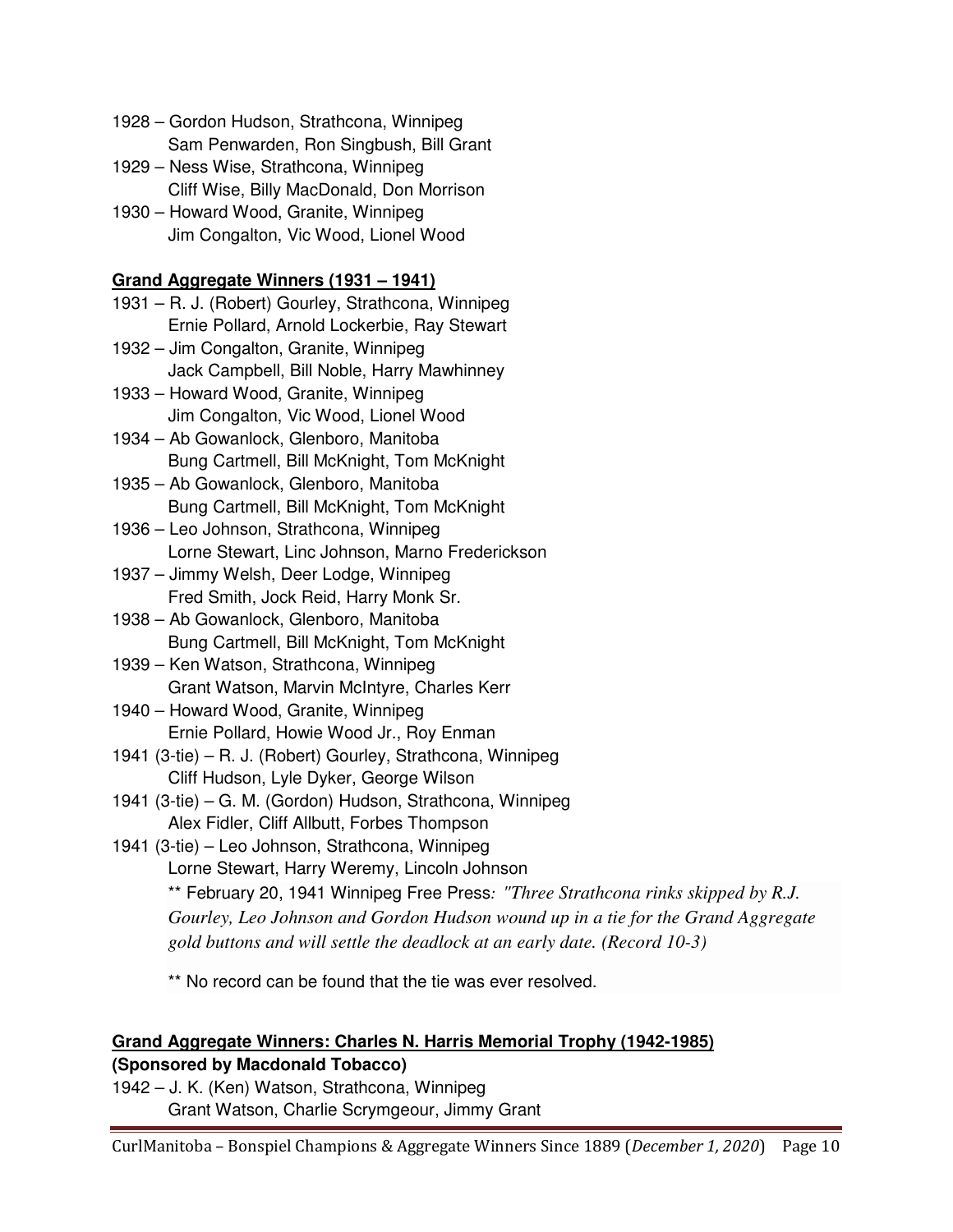- 1928 Gordon Hudson, Strathcona, Winnipeg Sam Penwarden, Ron Singbush, Bill Grant
- 1929 Ness Wise, Strathcona, Winnipeg Cliff Wise, Billy MacDonald, Don Morrison
- 1930 Howard Wood, Granite, Winnipeg Jim Congalton, Vic Wood, Lionel Wood

#### **Grand Aggregate Winners (1931 – 1941)**

- 1931 R. J. (Robert) Gourley, Strathcona, Winnipeg Ernie Pollard, Arnold Lockerbie, Ray Stewart
- 1932 Jim Congalton, Granite, Winnipeg Jack Campbell, Bill Noble, Harry Mawhinney
- 1933 Howard Wood, Granite, Winnipeg Jim Congalton, Vic Wood, Lionel Wood
- 1934 Ab Gowanlock, Glenboro, Manitoba Bung Cartmell, Bill McKnight, Tom McKnight
- 1935 Ab Gowanlock, Glenboro, Manitoba Bung Cartmell, Bill McKnight, Tom McKnight
- 1936 Leo Johnson, Strathcona, Winnipeg Lorne Stewart, Linc Johnson, Marno Frederickson
- 1937 Jimmy Welsh, Deer Lodge, Winnipeg Fred Smith, Jock Reid, Harry Monk Sr.
- 1938 Ab Gowanlock, Glenboro, Manitoba Bung Cartmell, Bill McKnight, Tom McKnight
- 1939 Ken Watson, Strathcona, Winnipeg Grant Watson, Marvin McIntyre, Charles Kerr
- 1940 Howard Wood, Granite, Winnipeg Ernie Pollard, Howie Wood Jr., Roy Enman
- 1941 (3-tie) R. J. (Robert) Gourley, Strathcona, Winnipeg Cliff Hudson, Lyle Dyker, George Wilson
- 1941 (3-tie) G. M. (Gordon) Hudson, Strathcona, Winnipeg Alex Fidler, Cliff Allbutt, Forbes Thompson
- 1941 (3-tie) Leo Johnson, Strathcona, Winnipeg Lorne Stewart, Harry Weremy, Lincoln Johnson \*\* February 20, 1941 Winnipeg Free Press: *"Three Strathcona rinks skipped by R.J. Gourley, Leo Johnson and Gordon Hudson wound up in a tie for the Grand Aggregate* 
	- *gold buttons and will settle the deadlock at an early date. (Record 10-3)*

\*\* No record can be found that the tie was ever resolved.

#### **Grand Aggregate Winners: Charles N. Harris Memorial Trophy (1942-1985) (Sponsored by Macdonald Tobacco)**

1942 – J. K. (Ken) Watson, Strathcona, Winnipeg Grant Watson, Charlie Scrymgeour, Jimmy Grant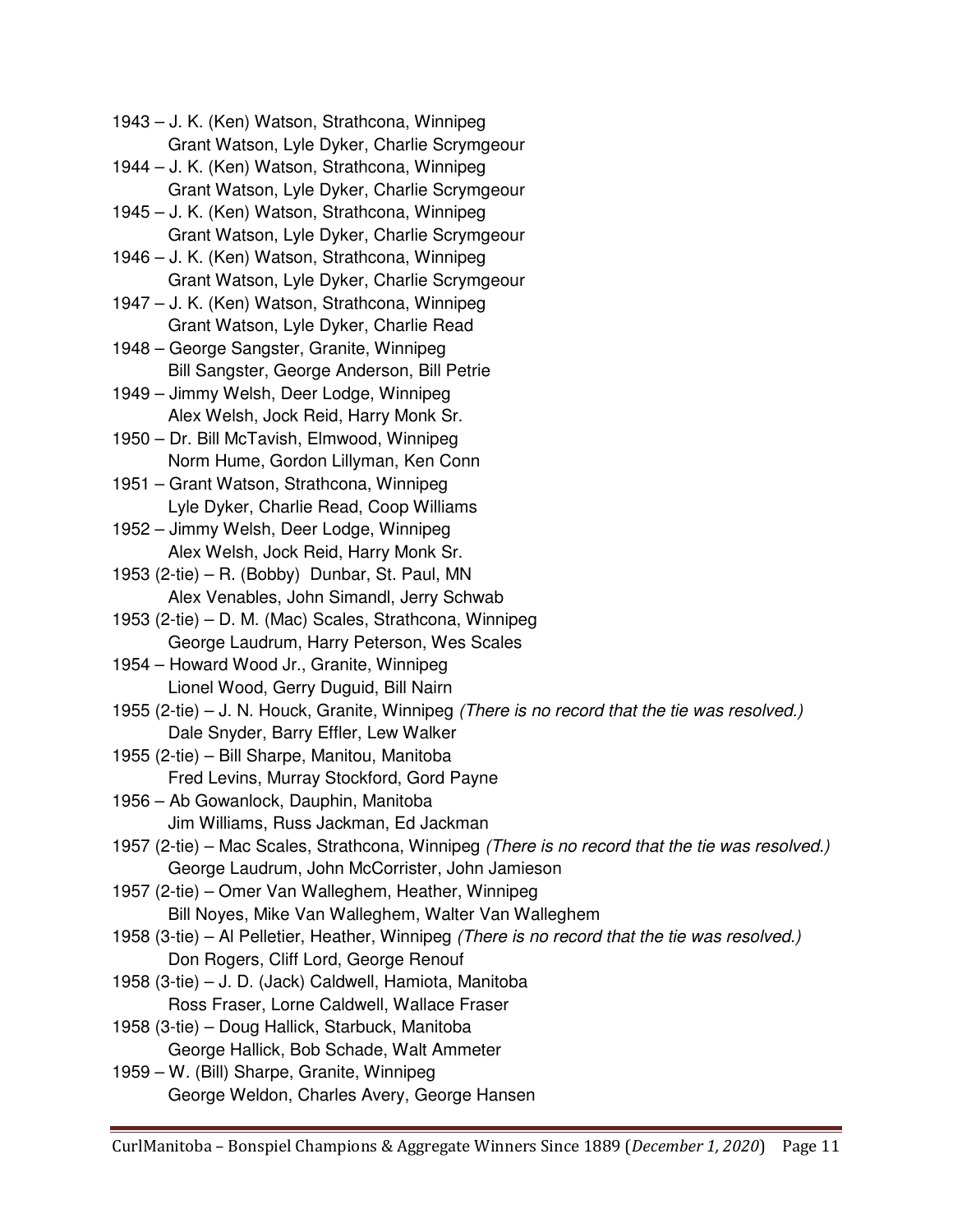1943 – J. K. (Ken) Watson, Strathcona, Winnipeg Grant Watson, Lyle Dyker, Charlie Scrymgeour

- 1944 J. K. (Ken) Watson, Strathcona, Winnipeg Grant Watson, Lyle Dyker, Charlie Scrymgeour
- 1945 J. K. (Ken) Watson, Strathcona, Winnipeg Grant Watson, Lyle Dyker, Charlie Scrymgeour
- 1946 J. K. (Ken) Watson, Strathcona, Winnipeg Grant Watson, Lyle Dyker, Charlie Scrymgeour
- 1947 J. K. (Ken) Watson, Strathcona, Winnipeg Grant Watson, Lyle Dyker, Charlie Read
- 1948 George Sangster, Granite, Winnipeg Bill Sangster, George Anderson, Bill Petrie
- 1949 Jimmy Welsh, Deer Lodge, Winnipeg Alex Welsh, Jock Reid, Harry Monk Sr.
- 1950 Dr. Bill McTavish, Elmwood, Winnipeg Norm Hume, Gordon Lillyman, Ken Conn
- 1951 Grant Watson, Strathcona, Winnipeg Lyle Dyker, Charlie Read, Coop Williams
- 1952 Jimmy Welsh, Deer Lodge, Winnipeg Alex Welsh, Jock Reid, Harry Monk Sr.
- 1953 (2-tie) R. (Bobby) Dunbar, St. Paul, MN Alex Venables, John Simandl, Jerry Schwab
- 1953 (2-tie) D. M. (Mac) Scales, Strathcona, Winnipeg George Laudrum, Harry Peterson, Wes Scales
- 1954 Howard Wood Jr., Granite, Winnipeg Lionel Wood, Gerry Duguid, Bill Nairn
- 1955 (2-tie) J. N. Houck, Granite, Winnipeg (There is no record that the tie was resolved.) Dale Snyder, Barry Effler, Lew Walker
- 1955 (2-tie) Bill Sharpe, Manitou, Manitoba Fred Levins, Murray Stockford, Gord Payne
- 1956 Ab Gowanlock, Dauphin, Manitoba Jim Williams, Russ Jackman, Ed Jackman
- 1957 (2-tie) Mac Scales, Strathcona, Winnipeg (There is no record that the tie was resolved.) George Laudrum, John McCorrister, John Jamieson
- 1957 (2-tie) Omer Van Walleghem, Heather, Winnipeg Bill Noyes, Mike Van Walleghem, Walter Van Walleghem
- 1958 (3-tie) Al Pelletier, Heather, Winnipeg (There is no record that the tie was resolved.) Don Rogers, Cliff Lord, George Renouf
- 1958 (3-tie) J. D. (Jack) Caldwell, Hamiota, Manitoba Ross Fraser, Lorne Caldwell, Wallace Fraser
- 1958 (3-tie) Doug Hallick, Starbuck, Manitoba George Hallick, Bob Schade, Walt Ammeter
- 1959 W. (Bill) Sharpe, Granite, Winnipeg George Weldon, Charles Avery, George Hansen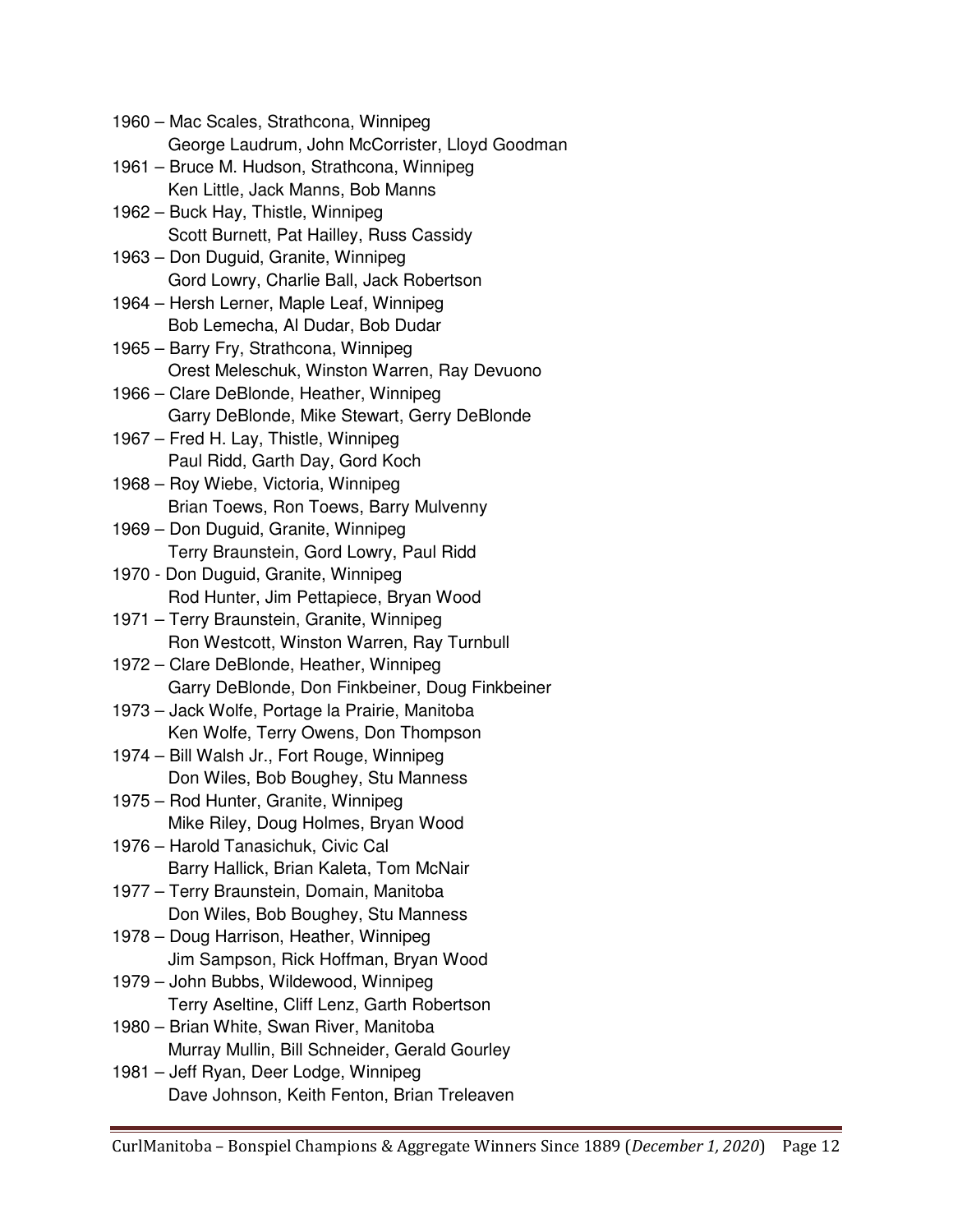1960 – Mac Scales, Strathcona, Winnipeg George Laudrum, John McCorrister, Lloyd Goodman 1961 – Bruce M. Hudson, Strathcona, Winnipeg Ken Little, Jack Manns, Bob Manns 1962 – Buck Hay, Thistle, Winnipeg Scott Burnett, Pat Hailley, Russ Cassidy 1963 – Don Duguid, Granite, Winnipeg Gord Lowry, Charlie Ball, Jack Robertson 1964 – Hersh Lerner, Maple Leaf, Winnipeg Bob Lemecha, Al Dudar, Bob Dudar 1965 – Barry Fry, Strathcona, Winnipeg Orest Meleschuk, Winston Warren, Ray Devuono 1966 – Clare DeBlonde, Heather, Winnipeg Garry DeBlonde, Mike Stewart, Gerry DeBlonde 1967 – Fred H. Lay, Thistle, Winnipeg Paul Ridd, Garth Day, Gord Koch 1968 – Roy Wiebe, Victoria, Winnipeg Brian Toews, Ron Toews, Barry Mulvenny 1969 – Don Duguid, Granite, Winnipeg Terry Braunstein, Gord Lowry, Paul Ridd 1970 - Don Duguid, Granite, Winnipeg Rod Hunter, Jim Pettapiece, Bryan Wood 1971 – Terry Braunstein, Granite, Winnipeg Ron Westcott, Winston Warren, Ray Turnbull 1972 – Clare DeBlonde, Heather, Winnipeg Garry DeBlonde, Don Finkbeiner, Doug Finkbeiner 1973 – Jack Wolfe, Portage la Prairie, Manitoba Ken Wolfe, Terry Owens, Don Thompson 1974 – Bill Walsh Jr., Fort Rouge, Winnipeg Don Wiles, Bob Boughey, Stu Manness 1975 – Rod Hunter, Granite, Winnipeg Mike Riley, Doug Holmes, Bryan Wood 1976 – Harold Tanasichuk, Civic Cal Barry Hallick, Brian Kaleta, Tom McNair 1977 – Terry Braunstein, Domain, Manitoba Don Wiles, Bob Boughey, Stu Manness 1978 – Doug Harrison, Heather, Winnipeg Jim Sampson, Rick Hoffman, Bryan Wood 1979 – John Bubbs, Wildewood, Winnipeg Terry Aseltine, Cliff Lenz, Garth Robertson 1980 – Brian White, Swan River, Manitoba Murray Mullin, Bill Schneider, Gerald Gourley 1981 – Jeff Ryan, Deer Lodge, Winnipeg Dave Johnson, Keith Fenton, Brian Treleaven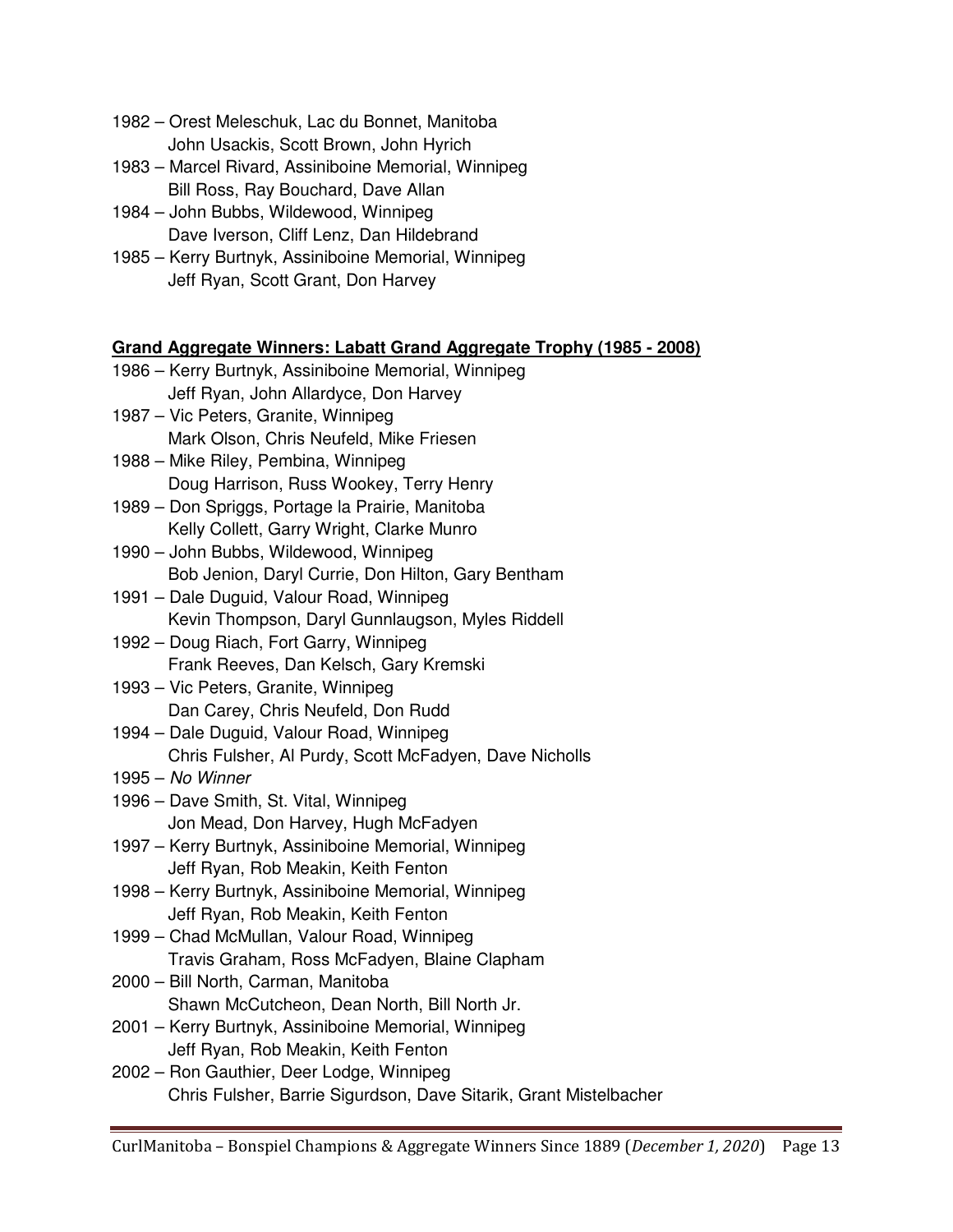- 1982 Orest Meleschuk, Lac du Bonnet, Manitoba John Usackis, Scott Brown, John Hyrich
- 1983 Marcel Rivard, Assiniboine Memorial, Winnipeg Bill Ross, Ray Bouchard, Dave Allan
- 1984 John Bubbs, Wildewood, Winnipeg Dave Iverson, Cliff Lenz, Dan Hildebrand
- 1985 Kerry Burtnyk, Assiniboine Memorial, Winnipeg Jeff Ryan, Scott Grant, Don Harvey

#### **Grand Aggregate Winners: Labatt Grand Aggregate Trophy (1985 - 2008)**

- 1986 Kerry Burtnyk, Assiniboine Memorial, Winnipeg Jeff Ryan, John Allardyce, Don Harvey
- 1987 Vic Peters, Granite, Winnipeg Mark Olson, Chris Neufeld, Mike Friesen
- 1988 Mike Riley, Pembina, Winnipeg Doug Harrison, Russ Wookey, Terry Henry
- 1989 Don Spriggs, Portage la Prairie, Manitoba Kelly Collett, Garry Wright, Clarke Munro
- 1990 John Bubbs, Wildewood, Winnipeg Bob Jenion, Daryl Currie, Don Hilton, Gary Bentham
- 1991 Dale Duguid, Valour Road, Winnipeg Kevin Thompson, Daryl Gunnlaugson, Myles Riddell
- 1992 Doug Riach, Fort Garry, Winnipeg Frank Reeves, Dan Kelsch, Gary Kremski
- 1993 Vic Peters, Granite, Winnipeg Dan Carey, Chris Neufeld, Don Rudd
- 1994 Dale Duguid, Valour Road, Winnipeg Chris Fulsher, Al Purdy, Scott McFadyen, Dave Nicholls
- 1995 No Winner
- 1996 Dave Smith, St. Vital, Winnipeg Jon Mead, Don Harvey, Hugh McFadyen
- 1997 Kerry Burtnyk, Assiniboine Memorial, Winnipeg Jeff Ryan, Rob Meakin, Keith Fenton
- 1998 Kerry Burtnyk, Assiniboine Memorial, Winnipeg Jeff Ryan, Rob Meakin, Keith Fenton
- 1999 Chad McMullan, Valour Road, Winnipeg Travis Graham, Ross McFadyen, Blaine Clapham
- 2000 Bill North, Carman, Manitoba Shawn McCutcheon, Dean North, Bill North Jr.
- 2001 Kerry Burtnyk, Assiniboine Memorial, Winnipeg Jeff Ryan, Rob Meakin, Keith Fenton
- 2002 Ron Gauthier, Deer Lodge, Winnipeg Chris Fulsher, Barrie Sigurdson, Dave Sitarik, Grant Mistelbacher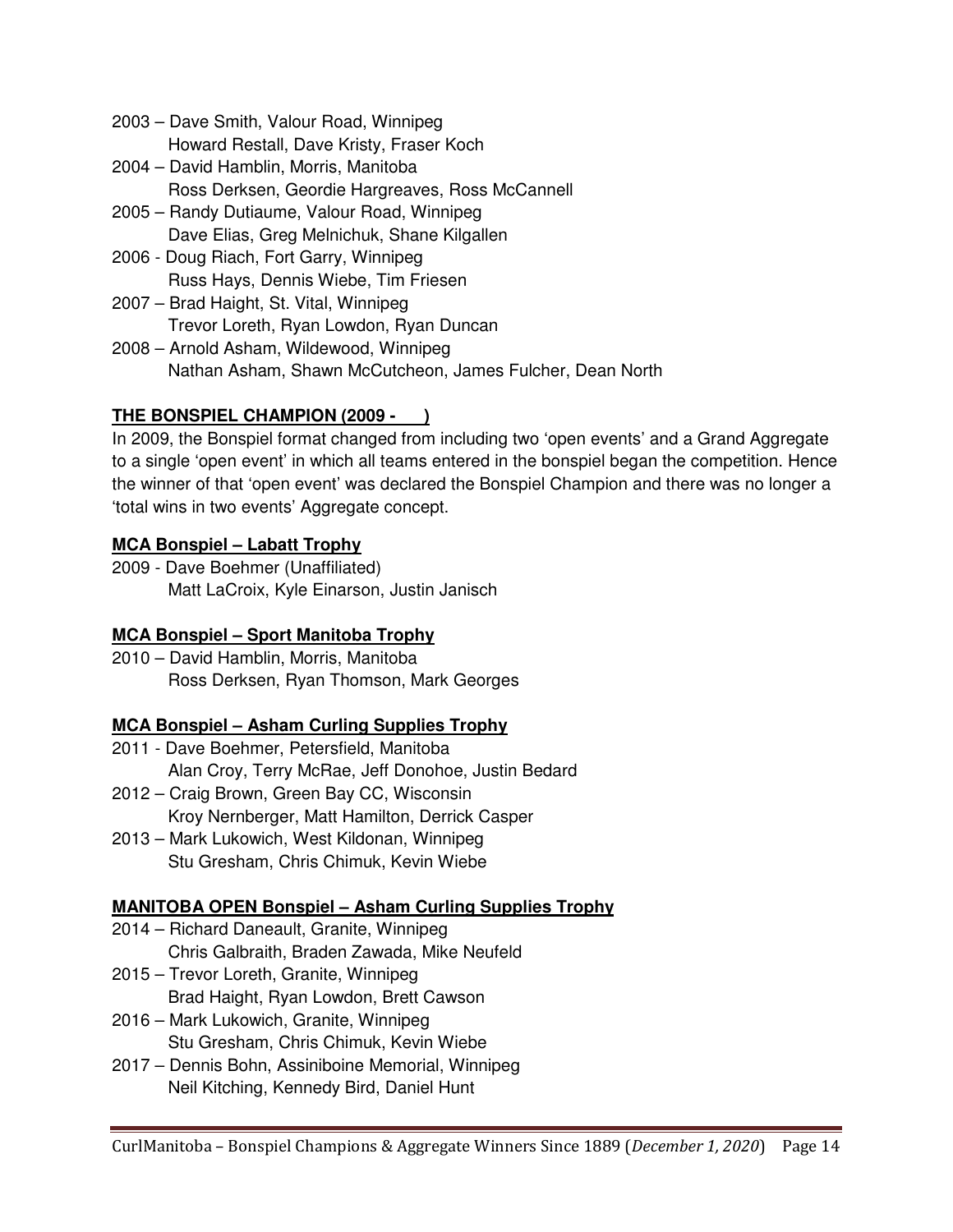- 2003 Dave Smith, Valour Road, Winnipeg Howard Restall, Dave Kristy, Fraser Koch
- 2004 David Hamblin, Morris, Manitoba Ross Derksen, Geordie Hargreaves, Ross McCannell
- 2005 Randy Dutiaume, Valour Road, Winnipeg Dave Elias, Greg Melnichuk, Shane Kilgallen
- 2006 Doug Riach, Fort Garry, Winnipeg Russ Hays, Dennis Wiebe, Tim Friesen
- 2007 Brad Haight, St. Vital, Winnipeg Trevor Loreth, Ryan Lowdon, Ryan Duncan
- 2008 Arnold Asham, Wildewood, Winnipeg Nathan Asham, Shawn McCutcheon, James Fulcher, Dean North

#### **THE BONSPIEL CHAMPION (2009 - )**

In 2009, the Bonspiel format changed from including two 'open events' and a Grand Aggregate to a single 'open event' in which all teams entered in the bonspiel began the competition. Hence the winner of that 'open event' was declared the Bonspiel Champion and there was no longer a 'total wins in two events' Aggregate concept.

#### **MCA Bonspiel – Labatt Trophy**

2009 - Dave Boehmer (Unaffiliated) Matt LaCroix, Kyle Einarson, Justin Janisch

#### **MCA Bonspiel – Sport Manitoba Trophy**

2010 – David Hamblin, Morris, Manitoba Ross Derksen, Ryan Thomson, Mark Georges

#### **MCA Bonspiel – Asham Curling Supplies Trophy**

- 2011 Dave Boehmer, Petersfield, Manitoba Alan Croy, Terry McRae, Jeff Donohoe, Justin Bedard
- 2012 Craig Brown, Green Bay CC, Wisconsin Kroy Nernberger, Matt Hamilton, Derrick Casper
- 2013 Mark Lukowich, West Kildonan, Winnipeg Stu Gresham, Chris Chimuk, Kevin Wiebe

#### **MANITOBA OPEN Bonspiel – Asham Curling Supplies Trophy**

- 2014 Richard Daneault, Granite, Winnipeg Chris Galbraith, Braden Zawada, Mike Neufeld
- 2015 Trevor Loreth, Granite, Winnipeg Brad Haight, Ryan Lowdon, Brett Cawson
- 2016 Mark Lukowich, Granite, Winnipeg Stu Gresham, Chris Chimuk, Kevin Wiebe
- 2017 Dennis Bohn, Assiniboine Memorial, Winnipeg Neil Kitching, Kennedy Bird, Daniel Hunt